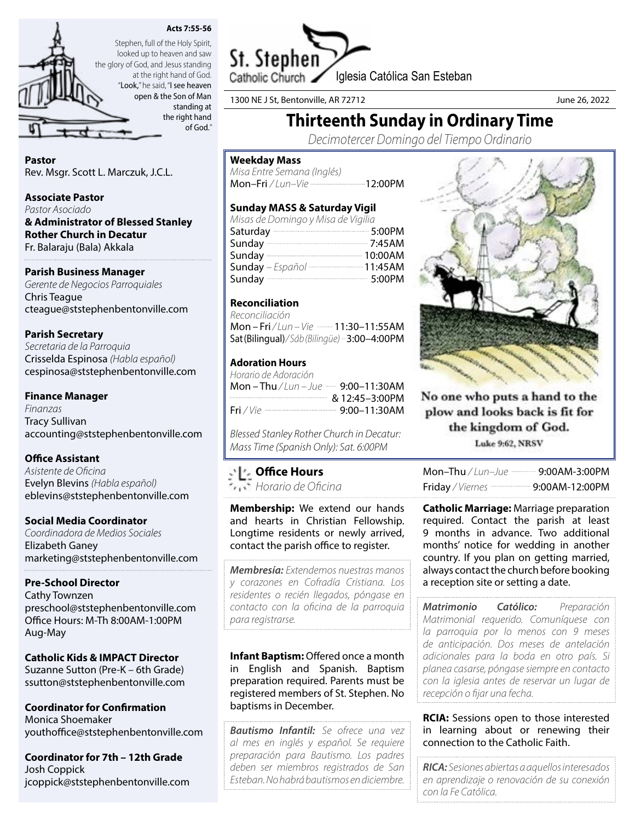



Stephen, full of the Holy Spirit, looked up to heaven and saw the glory of God, and Jesus standing at the right hand of God. "Look," he said, "I see heaven open & the Son of Man standing at the right hand of God."

Pastor Rev. Msgr. Scott L. Marczuk, J.C.L.

Associate Pastor

*Pastor Asociado* & Administrator of Blessed Stanley Rother Church in Decatur Fr. Balaraju (Bala) Akkala

# Parish Business Manager

*Gerente de Negocios Parroquiales* Chris Teague cteague@ststephenbentonville.com

Parish Secretary *Secretaria de la Parroquia*

Crisselda Espinosa *(Habla español)* cespinosa@ststephenbentonville.com

# Finance Manager

*Finanzas* Tracy Sullivan accounting@ststephenbentonville.com

# Office Assistant

*Asistente de Oficina* Evelyn Blevins *(Habla español)* eblevins@ststephenbentonville.com

# Social Media Coordinator

*Coordinadora de Medios Sociales* Elizabeth Ganey marketing@ststephenbentonville.com

# Pre-School Director

Cathy Townzen preschool@ststephenbentonville.com Office Hours: M-Th 8:00AM-1:00PM Aug-May

Catholic Kids & IMPACT Director Suzanne Sutton (Pre-K – 6th Grade) ssutton@ststephenbentonville.com

Coordinator for Confirmation Monica Shoemaker youthoffice@ststephenbentonville.com

Coordinator for 7th – 12th Grade Josh Coppick jcoppick@ststephenbentonville.com



1300 NE J St, Bentonville, AR 72712 June 26, 2022

# Thirteenth Sunday in Ordinary Time

*Decimotercer Domingo del Tiempo Ordinario*

#### Weekday Mass

*Misa Entre Semana (Inglés)* Mon-Fri / Lun-Vie ---------------------------12:00PM

# Sunday MASS & Saturday Vigil

| Misas de Domingo y Misa de Vigilia |  |
|------------------------------------|--|
| Saturday 200PM                     |  |
| Sunday 2:45AM                      |  |
|                                    |  |
| Sunday - Español  11:45AM          |  |
| Sunday 3:00PM                      |  |

# Reconciliation

*Reconciliación*  Mon – Fri / Lun – Vie **- 11:30–11:55AM** Sat (Bilingual)*/ Sáb (Bilingüe)* 3:00–4:00PM

# Adoration Hours

| Horario de Adoración                                    |  |
|---------------------------------------------------------|--|
|                                                         |  |
|                                                         |  |
| Fri / Vie -------------------------------- 9:00–11:30AM |  |

*Blessed Stanley Rother Church in Decatur: Mass Time (Spanish Only): Sat. 6:00PM*

# Office Hours

*Horario de Oficina*

Membership: We extend our hands and hearts in Christian Fellowship. Longtime residents or newly arrived, contact the parish office to register.

*Membresía: Extendemos nuestras manos y corazones en Cofradía Cristiana. Los residentes o recién llegados, póngase en contacto con la oficina de la parroquia para registrarse.*

Infant Baptism: Offered once a month in English and Spanish. Baptism preparation required. Parents must be registered members of St. Stephen. No baptisms in December.

*Bautismo Infantil: Se ofrece una vez al mes en inglés y español. Se requiere preparación para Bautismo. Los padres deben ser miembros registrados de San Esteban. No habrá bautismos en diciembre.*



No one who puts a hand to the plow and looks back is fit for the kingdom of God. Luke 9:62, NRSV

| Friday / Viernes - 9:00AM-12:00PM |
|-----------------------------------|

**Catholic Marriage: Marriage preparation** required. Contact the parish at least 9 months in advance. Two additional months' notice for wedding in another country. If you plan on getting married, always contact the church before booking a reception site or setting a date.

*Matrimonio Católico: Preparación Matrimonial requerido. Comuníquese con la parroquia por lo menos con 9 meses de anticipación. Dos meses de antelación adicionales para la boda en otro país. Si planea casarse, póngase siempre en contacto con la iglesia antes de reservar un lugar de recepción o fijar una fecha.*

**RCIA:** Sessions open to those interested in learning about or renewing their connection to the Catholic Faith.

*RICA: Sesiones abiertas a aquellos interesados en aprendizaje o renovación de su conexión con la Fe Católica.*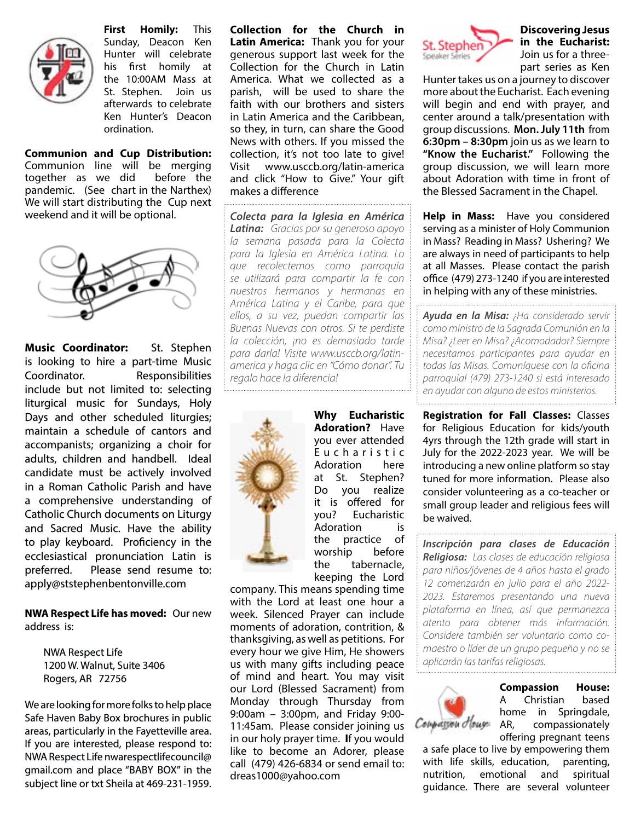

First Homily: This Sunday, Deacon Ken Hunter will celebrate his first homily at the 10:00AM Mass at St. Stephen. Join us afterwards to celebrate Ken Hunter's Deacon ordination.

Communion and Cup Distribution: Communion line will be merging together as we did before the pandemic. (See chart in the Narthex) We will start distributing the Cup next weekend and it will be optional.



Music Coordinator: St. Stephen is looking to hire a part-time Music Coordinator. Responsibilities include but not limited to: selecting liturgical music for Sundays, Holy Days and other scheduled liturgies; maintain a schedule of cantors and accompanists; organizing a choir for adults, children and handbell. Ideal candidate must be actively involved in a Roman Catholic Parish and have a comprehensive understanding of Catholic Church documents on Liturgy and Sacred Music. Have the ability to play keyboard. Proficiency in the ecclesiastical pronunciation Latin is preferred. Please send resume to: apply@ststephenbentonville.com

NWA Respect Life has moved: Our new address is:

NWA Respect Life 1200 W. Walnut, Suite 3406 Rogers, AR 72756

We are looking for more folks to help place Safe Haven Baby Box brochures in public areas, particularly in the Fayetteville area. If you are interested, please respond to: NWA Respect Life nwarespectlifecouncil@ gmail.com and place "BABY BOX" in the subject line or txt Sheila at 469-231-1959.

Collection for the Church in Latin America: Thank you for your generous support last week for the Collection for the Church in Latin America. What we collected as a parish, will be used to share the faith with our brothers and sisters in Latin America and the Caribbean, so they, in turn, can share the Good News with others. If you missed the collection, it's not too late to give! Visit www.usccb.org/latin-america and click "How to Give." Your gift makes a difference

*Colecta para la Iglesia en América Latina: Gracias por su generoso apoyo la semana pasada para la Colecta para la Iglesia en América Latina. Lo que recolectemos como parroquia se utilizará para compartir la fe con nuestros hermanos y hermanas en América Latina y el Caribe, para que ellos, a su vez, puedan compartir las Buenas Nuevas con otros. Si te perdiste la colección, ¡no es demasiado tarde para darla! Visite www.usccb.org/latinamerica y haga clic en "Cómo donar". Tu regalo hace la diferencia!*



Why Eucharistic Adoration? Have you ever attended E u c h a r i s t i c Adoration here at St. Stephen? Do you realize it is offered for you? Eucharistic Adoration is the practice of worship before the tabernacle, keeping the Lord

company. This means spending time with the Lord at least one hour a week. Silenced Prayer can include moments of adoration, contrition, & thanksgiving, as well as petitions. For every hour we give Him, He showers us with many gifts including peace of mind and heart. You may visit our Lord (Blessed Sacrament) from Monday through Thursday from 9:00am – 3:00pm, and Friday 9:00- 11:45am. Please consider joining us in our holy prayer time. If you would like to become an Adorer, please call (479) 426-6834 or send email to: dreas1000@yahoo.com



#### Discovering Jesus in the Eucharist: Join us for a threepart series as Ken

Hunter takes us on a journey to discover more about the Eucharist. Each evening will begin and end with prayer, and center around a talk/presentation with group discussions. Mon. July 11th from 6:30pm – 8:30pm join us as we learn to "Know the Eucharist." Following the group discussion, we will learn more about Adoration with time in front of the Blessed Sacrament in the Chapel.

Help in Mass: Have you considered serving as a minister of Holy Communion in Mass? Reading in Mass? Ushering? We are always in need of participants to help at all Masses. Please contact the parish office (479) 273-1240 if you are interested in helping with any of these ministries.

*Ayuda en la Misa: ¿Ha considerado servir como ministro de la Sagrada Comunión en la Misa? ¿Leer en Misa? ¿Acomodador? Siempre necesitamos participantes para ayudar en todas las Misas. Comuníquese con la oficina parroquial (479) 273-1240 si está interesado en ayudar con alguno de estos ministerios.*

Registration for Fall Classes: Classes for Religious Education for kids/youth 4yrs through the 12th grade will start in July for the 2022-2023 year. We will be introducing a new online platform so stay tuned for more information. Please also consider volunteering as a co-teacher or small group leader and religious fees will be waived.

*Inscripción para clases de Educación Religiosa: Las clases de educación religiosa para niños/jóvenes de 4 años hasta el grado 12 comenzarán en julio para el año 2022- 2023. Estaremos presentando una nueva plataforma en línea, así que permanezca atento para obtener más información. Considere también ser voluntario como comaestro o líder de un grupo pequeño y no se aplicarán las tarifas religiosas.*



Compassion House: A Christian based home in Springdale,<br>Compassionately AR, compassionately compassionately offering pregnant teens

a safe place to live by empowering them with life skills, education, parenting, nutrition, emotional and spiritual guidance. There are several volunteer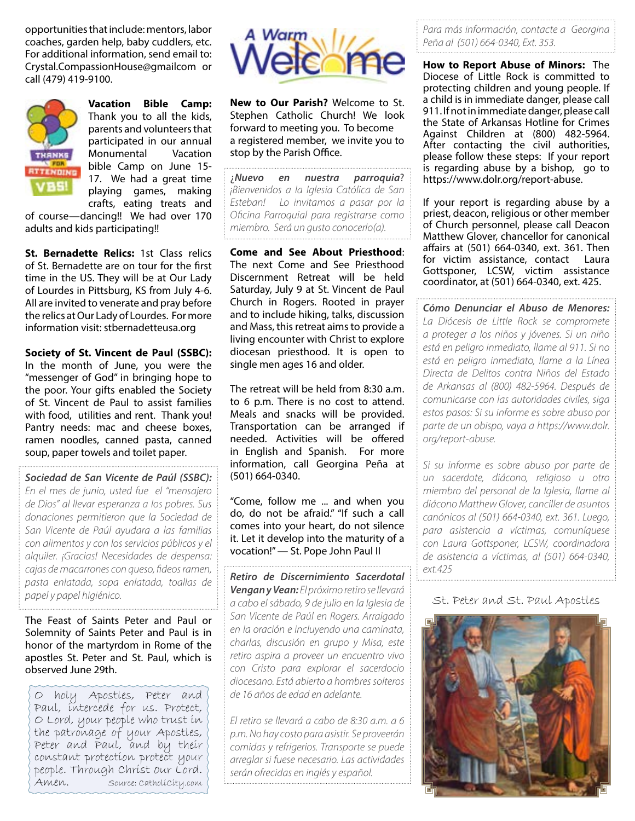opportunities that include: mentors, labor coaches, garden help, baby cuddlers, etc. For additional information, send email to: Crystal.CompassionHouse@gmailcom or call (479) 419-9100.



Vacation Bible Camp: Thank you to all the kids, parents and volunteers that participated in our annual Monumental Vacation bible Camp on June 15- 17. We had a great time playing games, making crafts, eating treats and

of course—dancing!! We had over 170 adults and kids participating!!

St. Bernadette Relics: 1st Class relics of St. Bernadette are on tour for the first time in the US. They will be at Our Lady of Lourdes in Pittsburg, KS from July 4-6. All are invited to venerate and pray before the relics at Our Lady of Lourdes. For more information visit: stbernadetteusa.org

Society of St. Vincent de Paul (SSBC): In the month of June, you were the "messenger of God" in bringing hope to the poor. Your gifts enabled the Society of St. Vincent de Paul to assist families with food, utilities and rent. Thank you! Pantry needs: mac and cheese boxes, ramen noodles, canned pasta, canned soup, paper towels and toilet paper.

*Sociedad de San Vicente de Paúl (SSBC): En el mes de junio, usted fue el "mensajero de Dios" al llevar esperanza a los pobres. Sus donaciones permitieron que la Sociedad de San Vicente de Paúl ayudara a las familias con alimentos y con los servicios públicos y el alquiler. ¡Gracias! Necesidades de despensa: cajas de macarrones con queso, fideos ramen, pasta enlatada, sopa enlatada, toallas de papel y papel higiénico.* 

The Feast of Saints Peter and Paul or Solemnity of Saints Peter and Paul is in honor of the martyrdom in Rome of the apostles St. Peter and St. Paul, which is observed June 29th.

O holy Apostles, Peter and Paul, intercede for us. Protect, O Lord, your people who trust in the patronage of your Apostles, Peter and Paul, and by their constant protection protect your people. Through Christ our Lord.<br>Amen. Source: Catholicity.com Source: Catholicity.com



New to Our Parish? Welcome to St. Stephen Catholic Church! We look forward to meeting you. To become a registered member, we invite you to stop by the Parish Office.

¿*Nuevo en nuestra parroquia*? *¡Bienvenidos a la Iglesia Católica de San Esteban! Lo invitamos a pasar por la Oficina Parroquial para registrarse como miembro. Será un gusto conocerlo(a).*

Come and See About Priesthood: The next Come and See Priesthood Discernment Retreat will be held Saturday, July 9 at St. Vincent de Paul Church in Rogers. Rooted in prayer and to include hiking, talks, discussion and Mass, this retreat aims to provide a living encounter with Christ to explore diocesan priesthood. It is open to single men ages 16 and older.

The retreat will be held from 8:30 a.m. to 6 p.m. There is no cost to attend. Meals and snacks will be provided. Transportation can be arranged if needed. Activities will be offered in English and Spanish. For more information, call Georgina Peña at (501) 664-0340.

"Come, follow me ... and when you do, do not be afraid." "If such a call comes into your heart, do not silence it. Let it develop into the maturity of a vocation!" — St. Pope John Paul II

*Retiro de Discernimiento Sacerdotal Vengan y Vean: El próximo retiro se llevará a cabo el sábado, 9 de julio en la Iglesia de San Vicente de Paúl en Rogers. Arraigado en la oración e incluyendo una caminata, charlas, discusión en grupo y Misa, este retiro aspira a proveer un encuentro vivo con Cristo para explorar el sacerdocio diocesano. Está abierto a hombres solteros de 16 años de edad en adelante.*

*El retiro se llevará a cabo de 8:30 a.m. a 6 p.m. No hay costo para asistir. Se proveerán comidas y refrigerios. Transporte se puede arreglar si fuese necesario. Las actividades serán ofrecidas en inglés y español.*

*Para más información, contacte a Georgina Peña al (501) 664-0340, Ext. 353.* 

How to Report Abuse of Minors: The Diocese of Little Rock is committed to protecting children and young people. If a child is in immediate danger, please call 911. If not in immediate danger, please call the State of Arkansas Hotline for Crimes Against Children at (800) 482-5964. After contacting the civil authorities, please follow these steps: If your report is regarding abuse by a bishop, go to https://www.dolr.org/report-abuse.

If your report is regarding abuse by a priest, deacon, religious or other member of Church personnel, please call Deacon Matthew Glover, chancellor for canonical affairs at (501) 664-0340, ext. 361. Then for victim assistance, contact Laura Gottsponer, LCSW, victim assistance coordinator, at (501) 664-0340, ext. 425.

*Cómo Denunciar el Abuso de Menores: La Diócesis de Little Rock se compromete a proteger a los niños y jóvenes. Si un niño está en peligro inmediato, llame al 911. Si no está en peligro inmediato, llame a la Línea Directa de Delitos contra Niños del Estado de Arkansas al (800) 482-5964. Después de comunicarse con las autoridades civiles, siga estos pasos: Si su informe es sobre abuso por parte de un obispo, vaya a https://www.dolr. org/report-abuse.*

*Si su informe es sobre abuso por parte de un sacerdote, diácono, religioso u otro miembro del personal de la Iglesia, llame al diácono Matthew Glover, canciller de asuntos canónicos al (501) 664-0340, ext. 361. Luego, para asistencia a víctimas, comuníquese con Laura Gottsponer, LCSW, coordinadora de asistencia a víctimas, al (501) 664-0340, ext.425*

St. Peter and St. Paul Apostles